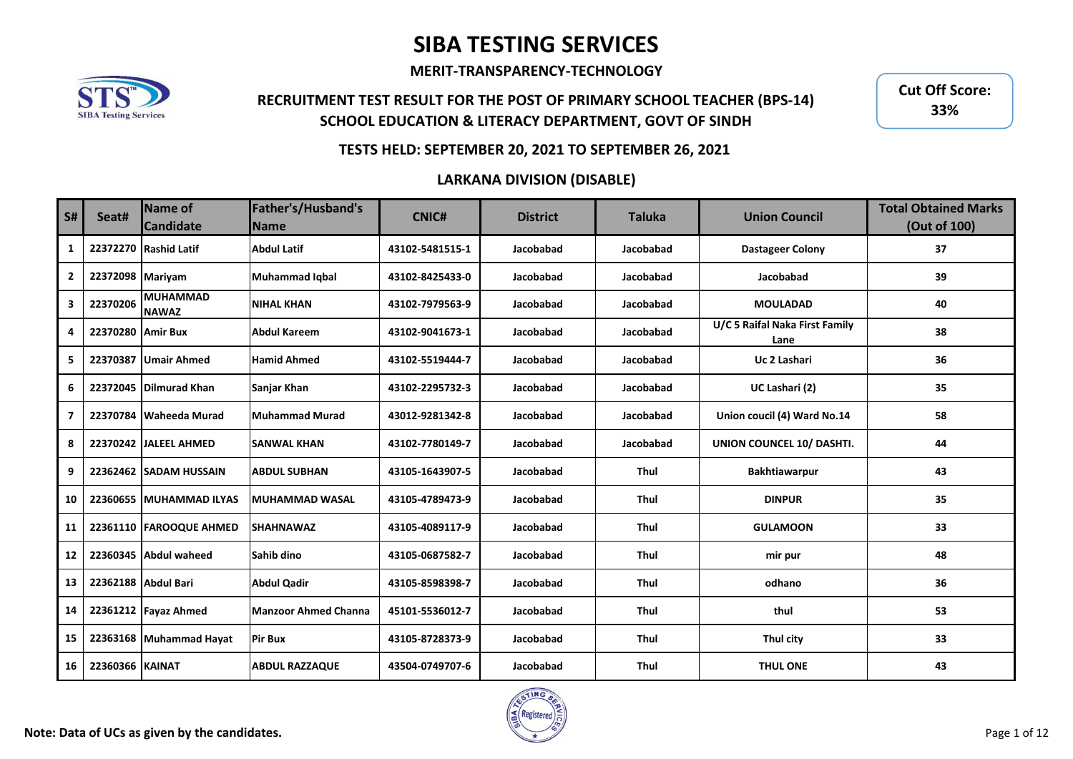**MERIT-TRANSPARENCY-TECHNOLOGY**



## **RECRUITMENT TEST RESULT FOR THE POST OF PRIMARY SCHOOL TEACHER (BPS-14) SCHOOL EDUCATION & LITERACY DEPARTMENT, GOVT OF SINDH**

**Cut Off Score: 33%**

### **TESTS HELD: SEPTEMBER 20, 2021 TO SEPTEMBER 26, 2021**

| S#                      | Seat#                  | <b>Name of</b><br><b>Candidate</b> | Father's/Husband's<br>Name  | <b>CNIC#</b>    | <b>District</b> | <b>Taluka</b> | <b>Union Council</b>                   | <b>Total Obtained Marks</b><br>(Out of 100) |
|-------------------------|------------------------|------------------------------------|-----------------------------|-----------------|-----------------|---------------|----------------------------------------|---------------------------------------------|
| 1                       |                        | 22372270 Rashid Latif              | <b>Abdul Latif</b>          | 43102-5481515-1 | Jacobabad       | Jacobabad     | <b>Dastageer Colony</b>                | 37                                          |
| $\mathbf{2}$            | 22372098 Mariyam       |                                    | <b>Muhammad Iqbal</b>       | 43102-8425433-0 | Jacobabad       | Jacobabad     | Jacobabad                              | 39                                          |
| $\overline{\mathbf{3}}$ | 22370206               | <b>MUHAMMAD</b><br><b>NAWAZ</b>    | <b>NIHAL KHAN</b>           | 43102-7979563-9 | Jacobabad       | Jacobabad     | <b>MOULADAD</b>                        | 40                                          |
| 4                       | 22370280 Amir Bux      |                                    | <b>Abdul Kareem</b>         | 43102-9041673-1 | Jacobabad       | Jacobabad     | U/C 5 Raifal Naka First Family<br>Lane | 38                                          |
| 5                       | 22370387               | <b>Umair Ahmed</b>                 | <b>Hamid Ahmed</b>          | 43102-5519444-7 | Jacobabad       | Jacobabad     | Uc 2 Lashari                           | 36                                          |
| 6                       |                        | 22372045 Dilmurad Khan             | Sanjar Khan                 | 43102-2295732-3 | Jacobabad       | Jacobabad     | UC Lashari (2)                         | 35                                          |
| $\overline{7}$          |                        | 22370784 Waheeda Murad             | <b>Muhammad Murad</b>       | 43012-9281342-8 | Jacobabad       | Jacobabad     | Union coucil (4) Ward No.14            | 58                                          |
| 8                       |                        | 22370242 JALEEL AHMED              | <b>SANWAL KHAN</b>          | 43102-7780149-7 | Jacobabad       | Jacobabad     | UNION COUNCEL 10/ DASHTI.              | 44                                          |
| 9                       |                        | 22362462 SADAM HUSSAIN             | <b>ABDUL SUBHAN</b>         | 43105-1643907-5 | Jacobabad       | Thul          | <b>Bakhtiawarpur</b>                   | 43                                          |
| 10                      |                        | 22360655 MUHAMMAD ILYAS            | <b>MUHAMMAD WASAL</b>       | 43105-4789473-9 | Jacobabad       | Thul          | <b>DINPUR</b>                          | 35                                          |
| 11                      |                        | 22361110 FAROOQUE AHMED            | <b>SHAHNAWAZ</b>            | 43105-4089117-9 | Jacobabad       | Thul          | <b>GULAMOON</b>                        | 33                                          |
| 12                      |                        | 22360345 Abdul waheed              | Sahib dino                  | 43105-0687582-7 | Jacobabad       | Thul          | mir pur                                | 48                                          |
| 13                      |                        | 22362188 Abdul Bari                | <b>Abdul Qadir</b>          | 43105-8598398-7 | Jacobabad       | Thul          | odhano                                 | 36                                          |
| 14                      |                        | 22361212 Fayaz Ahmed               | <b>Manzoor Ahmed Channa</b> | 45101-5536012-7 | Jacobabad       | Thul          | thul                                   | 53                                          |
| 15                      |                        | 22363168 Muhammad Hayat            | <b>Pir Bux</b>              | 43105-8728373-9 | Jacobabad       | Thul          | Thul city                              | 33                                          |
| 16                      | <b>22360366 KAINAT</b> |                                    | <b>ABDUL RAZZAQUE</b>       | 43504-0749707-6 | Jacobabad       | <b>Thul</b>   | <b>THUL ONE</b>                        | 43                                          |

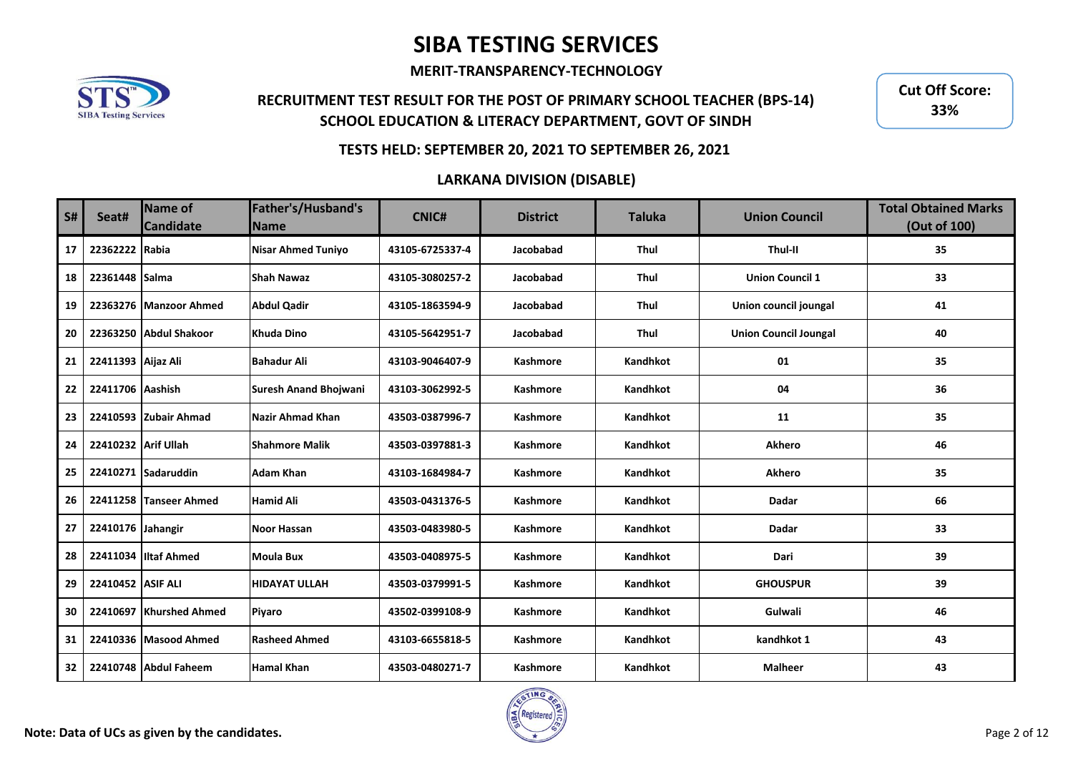**MERIT-TRANSPARENCY-TECHNOLOGY**



## **RECRUITMENT TEST RESULT FOR THE POST OF PRIMARY SCHOOL TEACHER (BPS-14) SCHOOL EDUCATION & LITERACY DEPARTMENT, GOVT OF SINDH**

**Cut Off Score: 33%**

### **TESTS HELD: SEPTEMBER 20, 2021 TO SEPTEMBER 26, 2021**

| S# | Seat#               | <b>Name of</b><br><b>Candidate</b> | Father's/Husband's<br><b>Name</b> | <b>CNIC#</b>    | <b>District</b> | <b>Taluka</b> | <b>Union Council</b>         | <b>Total Obtained Marks</b><br>(Out of 100) |
|----|---------------------|------------------------------------|-----------------------------------|-----------------|-----------------|---------------|------------------------------|---------------------------------------------|
| 17 | 22362222 Rabia      |                                    | <b>Nisar Ahmed Tuniyo</b>         | 43105-6725337-4 | Jacobabad       | Thul          | Thul-II                      | 35                                          |
| 18 | 22361448 Salma      |                                    | <b>Shah Nawaz</b>                 | 43105-3080257-2 | Jacobabad       | Thul          | <b>Union Council 1</b>       | 33                                          |
| 19 |                     | 22363276 Manzoor Ahmed             | <b>Abdul Qadir</b>                | 43105-1863594-9 | Jacobabad       | <b>Thul</b>   | Union council joungal        | 41                                          |
| 20 | 22363250            | Abdul Shakoor                      | Khuda Dino                        | 43105-5642951-7 | Jacobabad       | Thul          | <b>Union Council Joungal</b> | 40                                          |
| 21 | 22411393 Aijaz Ali  |                                    | <b>Bahadur Ali</b>                | 43103-9046407-9 | <b>Kashmore</b> | Kandhkot      | 01                           | 35                                          |
| 22 | 22411706 Aashish    |                                    | <b>Suresh Anand Bhoiwani</b>      | 43103-3062992-5 | <b>Kashmore</b> | Kandhkot      | 04                           | 36                                          |
| 23 |                     | 22410593 Zubair Ahmad              | Nazir Ahmad Khan                  | 43503-0387996-7 | <b>Kashmore</b> | Kandhkot      | 11                           | 35                                          |
| 24 | 22410232 Arif Ullah |                                    | <b>Shahmore Malik</b>             | 43503-0397881-3 | Kashmore        | Kandhkot      | <b>Akhero</b>                | 46                                          |
| 25 |                     | 22410271 Sadaruddin                | Adam Khan                         | 43103-1684984-7 | <b>Kashmore</b> | Kandhkot      | <b>Akhero</b>                | 35                                          |
| 26 |                     | 22411258 Tanseer Ahmed             | <b>Hamid Ali</b>                  | 43503-0431376-5 | <b>Kashmore</b> | Kandhkot      | Dadar                        | 66                                          |
| 27 | 22410176 Jahangir   |                                    | <b>Noor Hassan</b>                | 43503-0483980-5 | <b>Kashmore</b> | Kandhkot      | <b>Dadar</b>                 | 33                                          |
| 28 |                     | 22411034 Iltaf Ahmed               | <b>Moula Bux</b>                  | 43503-0408975-5 | <b>Kashmore</b> | Kandhkot      | Dari                         | 39                                          |
| 29 | 22410452 ASIF ALI   |                                    | <b>HIDAYAT ULLAH</b>              | 43503-0379991-5 | <b>Kashmore</b> | Kandhkot      | <b>GHOUSPUR</b>              | 39                                          |
| 30 |                     | 22410697 Khurshed Ahmed            | Piyaro                            | 43502-0399108-9 | Kashmore        | Kandhkot      | Gulwali                      | 46                                          |
| 31 |                     | 22410336 Masood Ahmed              | <b>Rasheed Ahmed</b>              | 43103-6655818-5 | Kashmore        | Kandhkot      | kandhkot 1                   | 43                                          |
| 32 |                     | 22410748 Abdul Faheem              | <b>Hamal Khan</b>                 | 43503-0480271-7 | <b>Kashmore</b> | Kandhkot      | <b>Malheer</b>               | 43                                          |

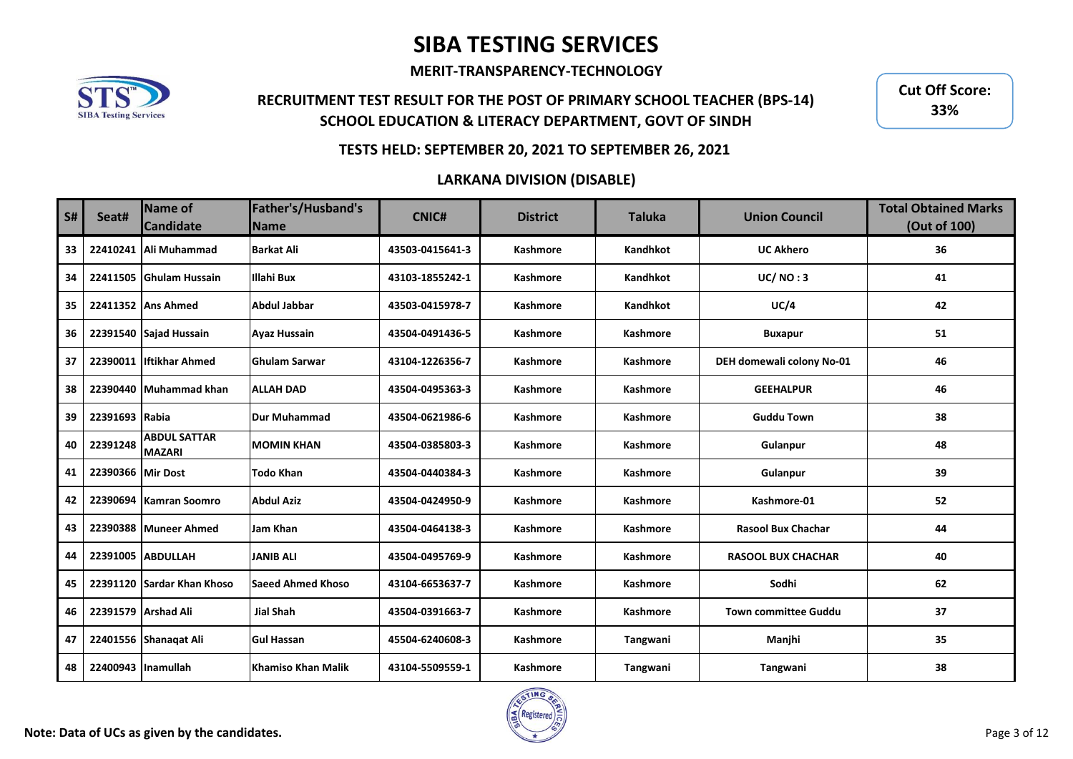**MERIT-TRANSPARENCY-TECHNOLOGY**



## **RECRUITMENT TEST RESULT FOR THE POST OF PRIMARY SCHOOL TEACHER (BPS-14) SCHOOL EDUCATION & LITERACY DEPARTMENT, GOVT OF SINDH**

**Cut Off Score: 33%**

### **TESTS HELD: SEPTEMBER 20, 2021 TO SEPTEMBER 26, 2021**

| <b>S#</b> | Seat#              | Name of<br><b>Candidate</b>          | Father's/Husband's<br><b>Name</b> | <b>CNIC#</b>    | <b>District</b> | <b>Taluka</b>   | <b>Union Council</b>        | <b>Total Obtained Marks</b><br>(Out of 100) |
|-----------|--------------------|--------------------------------------|-----------------------------------|-----------------|-----------------|-----------------|-----------------------------|---------------------------------------------|
| 33        | 22410241           | Ali Muhammad                         | <b>Barkat Ali</b>                 | 43503-0415641-3 | Kashmore        | Kandhkot        | <b>UC Akhero</b>            | 36                                          |
| 34        | 22411505           | <b>Ghulam Hussain</b>                | <b>Illahi Bux</b>                 | 43103-1855242-1 | <b>Kashmore</b> | Kandhkot        | UC/NO:3                     | 41                                          |
| 35        |                    | 22411352 Ans Ahmed                   | <b>Abdul Jabbar</b>               | 43503-0415978-7 | <b>Kashmore</b> | Kandhkot        | UC/4                        | 42                                          |
| 36        |                    | 22391540 Sajad Hussain               | <b>Ayaz Hussain</b>               | 43504-0491436-5 | Kashmore        | <b>Kashmore</b> | <b>Buxapur</b>              | 51                                          |
| 37        |                    | 22390011 liftikhar Ahmed             | <b>Ghulam Sarwar</b>              | 43104-1226356-7 | Kashmore        | <b>Kashmore</b> | DEH domewali colony No-01   | 46                                          |
| 38        |                    | 22390440 Muhammad khan               | <b>ALLAH DAD</b>                  | 43504-0495363-3 | Kashmore        | <b>Kashmore</b> | <b>GEEHALPUR</b>            | 46                                          |
| 39        | 22391693 Rabia     |                                      | <b>Dur Muhammad</b>               | 43504-0621986-6 | Kashmore        | <b>Kashmore</b> | <b>Guddu Town</b>           | 38                                          |
| 40        | 22391248           | <b>ABDUL SATTAR</b><br><b>MAZARI</b> | <b>MOMIN KHAN</b>                 | 43504-0385803-3 | Kashmore        | <b>Kashmore</b> | Gulanpur                    | 48                                          |
| 41        | 22390366 Mir Dost  |                                      | <b>Todo Khan</b>                  | 43504-0440384-3 | <b>Kashmore</b> | <b>Kashmore</b> | Gulanpur                    | 39                                          |
| 42        | 22390694           | <b>Kamran Soomro</b>                 | <b>Abdul Aziz</b>                 | 43504-0424950-9 | Kashmore        | Kashmore        | Kashmore-01                 | 52                                          |
| 43        | 22390388           | Muneer Ahmed                         | Jam Khan                          | 43504-0464138-3 | Kashmore        | Kashmore        | <b>Rasool Bux Chachar</b>   | 44                                          |
| 44        |                    | 22391005 ABDULLAH                    | <b>JANIB ALI</b>                  | 43504-0495769-9 | Kashmore        | Kashmore        | <b>RASOOL BUX CHACHAR</b>   | 40                                          |
| 45        |                    | 22391120 Sardar Khan Khoso           | <b>Saeed Ahmed Khoso</b>          | 43104-6653637-7 | <b>Kashmore</b> | <b>Kashmore</b> | Sodhi                       | 62                                          |
| 46        |                    | 22391579 Arshad Ali                  | <b>Jial Shah</b>                  | 43504-0391663-7 | Kashmore        | <b>Kashmore</b> | <b>Town committee Guddu</b> | 37                                          |
| 47        |                    | 22401556 Shanaqat Ali                | <b>Gul Hassan</b>                 | 45504-6240608-3 | <b>Kashmore</b> | Tangwani        | Manjhi                      | 35                                          |
| 48        | 22400943 Inamullah |                                      | Khamiso Khan Malik                | 43104-5509559-1 | <b>Kashmore</b> | Tangwani        | Tangwani                    | 38                                          |

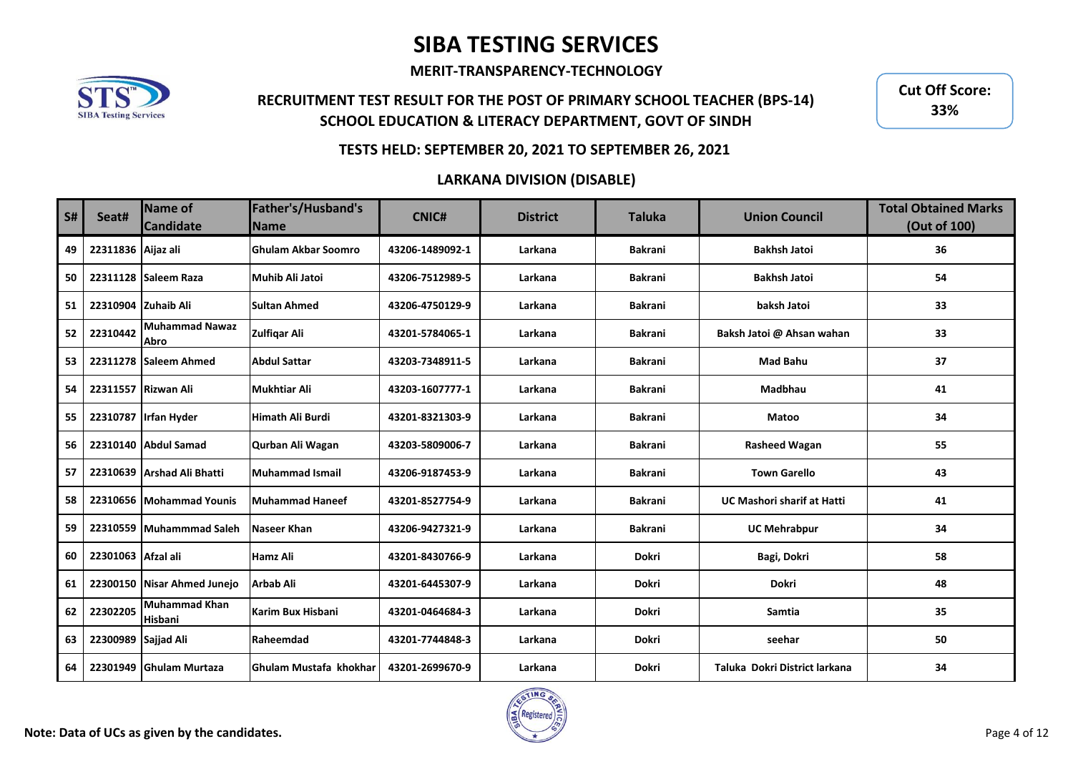**MERIT-TRANSPARENCY-TECHNOLOGY**



## **RECRUITMENT TEST RESULT FOR THE POST OF PRIMARY SCHOOL TEACHER (BPS-14) SCHOOL EDUCATION & LITERACY DEPARTMENT, GOVT OF SINDH**

**Cut Off Score: 33%**

### **TESTS HELD: SEPTEMBER 20, 2021 TO SEPTEMBER 26, 2021**

| <b>S#</b> | Seat#               | <b>Name of</b><br><b>Candidate</b> | Father's/Husband's<br><b>Name</b> | <b>CNIC#</b>    | <b>District</b> | <b>Taluka</b>  | <b>Union Council</b>              | <b>Total Obtained Marks</b><br>(Out of 100) |
|-----------|---------------------|------------------------------------|-----------------------------------|-----------------|-----------------|----------------|-----------------------------------|---------------------------------------------|
| 49        | 22311836 Aijaz ali  |                                    | <b>Ghulam Akbar Soomro</b>        | 43206-1489092-1 | Larkana         | <b>Bakrani</b> | <b>Bakhsh Jatoi</b>               | 36                                          |
| 50        |                     | 22311128 Saleem Raza               | Muhib Ali Jatoi                   | 43206-7512989-5 | Larkana         | <b>Bakrani</b> | <b>Bakhsh Jatoi</b>               | 54                                          |
| 51        | 22310904 Zuhaib Ali |                                    | <b>Sultan Ahmed</b>               | 43206-4750129-9 | Larkana         | <b>Bakrani</b> | baksh Jatoi                       | 33                                          |
| 52        | 22310442            | <b>Muhammad Nawaz</b><br>Abro      | <b>Zulfigar Ali</b>               | 43201-5784065-1 | Larkana         | <b>Bakrani</b> | Baksh Jatoi @ Ahsan wahan         | 33                                          |
| 53        |                     | 22311278 Saleem Ahmed              | <b>Abdul Sattar</b>               | 43203-7348911-5 | Larkana         | <b>Bakrani</b> | <b>Mad Bahu</b>                   | 37                                          |
| 54        |                     | 22311557 Rizwan Ali                | Mukhtiar Ali                      | 43203-1607777-1 | Larkana         | <b>Bakrani</b> | <b>Madbhau</b>                    | 41                                          |
| 55        |                     | 22310787 Irfan Hyder               | <b>Himath Ali Burdi</b>           | 43201-8321303-9 | Larkana         | <b>Bakrani</b> | <b>Matoo</b>                      | 34                                          |
| 56        |                     | 22310140 Abdul Samad               | Qurban Ali Wagan                  | 43203-5809006-7 | Larkana         | <b>Bakrani</b> | <b>Rasheed Wagan</b>              | 55                                          |
| 57        |                     | 22310639 Arshad Ali Bhatti         | Muhammad Ismail                   | 43206-9187453-9 | Larkana         | <b>Bakrani</b> | <b>Town Garello</b>               | 43                                          |
| 58        |                     | 22310656 Mohammad Younis           | Muhammad Haneef                   | 43201-8527754-9 | Larkana         | <b>Bakrani</b> | <b>UC Mashori sharif at Hatti</b> | 41                                          |
| 59        |                     | 22310559 Muhammmad Saleh           | Naseer Khan                       | 43206-9427321-9 | Larkana         | <b>Bakrani</b> | <b>UC Mehrabpur</b>               | 34                                          |
| 60        | 22301063 Afzal ali  |                                    | <b>Hamz Ali</b>                   | 43201-8430766-9 | Larkana         | <b>Dokri</b>   | Bagi, Dokri                       | 58                                          |
| 61        |                     | 22300150 Nisar Ahmed Junejo        | <b>Arbab Ali</b>                  | 43201-6445307-9 | Larkana         | Dokri          | <b>Dokri</b>                      | 48                                          |
| 62        | 22302205            | <b>Muhammad Khan</b><br>Hisbani    | Karim Bux Hisbani                 | 43201-0464684-3 | Larkana         | <b>Dokri</b>   | Samtia                            | 35                                          |
| 63        | 22300989 Sajjad Ali |                                    | Raheemdad                         | 43201-7744848-3 | Larkana         | <b>Dokri</b>   | seehar                            | 50                                          |
| 64        |                     | 22301949 Ghulam Murtaza            | lGhulam Mustafa khokhar           | 43201-2699670-9 | Larkana         | <b>Dokri</b>   | Taluka Dokri District larkana     | 34                                          |

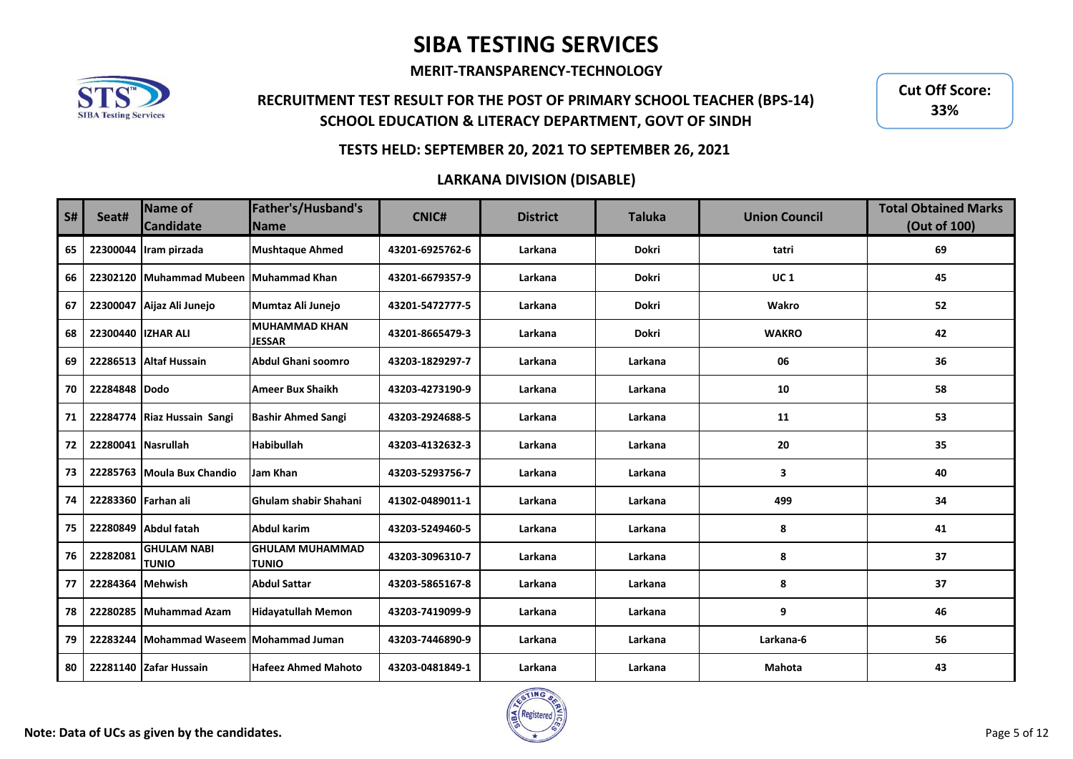**MERIT-TRANSPARENCY-TECHNOLOGY**



## **RECRUITMENT TEST RESULT FOR THE POST OF PRIMARY SCHOOL TEACHER (BPS-14) SCHOOL EDUCATION & LITERACY DEPARTMENT, GOVT OF SINDH**

**Cut Off Score: 33%**

### **TESTS HELD: SEPTEMBER 20, 2021 TO SEPTEMBER 26, 2021**

| <b>S#</b> | Seat#               | <b>Name of</b><br><b>Candidate</b> | Father's/Husband's<br><b>Name</b>      | <b>CNIC#</b>    | <b>District</b> | <b>Taluka</b> | <b>Union Council</b> | <b>Total Obtained Marks</b><br>(Out of 100) |
|-----------|---------------------|------------------------------------|----------------------------------------|-----------------|-----------------|---------------|----------------------|---------------------------------------------|
| 65        | 22300044            | Iram pirzada                       | <b>Mushtaque Ahmed</b>                 | 43201-6925762-6 | Larkana         | Dokri         | tatri                | 69                                          |
| 66        | 22302120            | Muhammad Mubeen Muhammad Khan      |                                        | 43201-6679357-9 | Larkana         | <b>Dokri</b>  | <b>UC1</b>           | 45                                          |
| 67        |                     | 22300047 Aijaz Ali Junejo          | Mumtaz Ali Junejo                      | 43201-5472777-5 | Larkana         | <b>Dokri</b>  | Wakro                | 52                                          |
| 68        | 22300440            | <b>IZHAR ALI</b>                   | MUHAMMAD KHAN<br><b>JESSAR</b>         | 43201-8665479-3 | Larkana         | <b>Dokri</b>  | <b>WAKRO</b>         | 42                                          |
| 69        | 22286513            | <b>Altaf Hussain</b>               | Abdul Ghani soomro                     | 43203-1829297-7 | Larkana         | Larkana       | 06                   | 36                                          |
| 70        | 22284848 Dodo       |                                    | <b>Ameer Bux Shaikh</b>                | 43203-4273190-9 | Larkana         | Larkana       | 10                   | 58                                          |
| 71        | 22284774            | Riaz Hussain Sangi                 | <b>Bashir Ahmed Sangi</b>              | 43203-2924688-5 | Larkana         | Larkana       | 11                   | 53                                          |
| 72        | 22280041            | <b>Nasrullah</b>                   | <b>Habibullah</b>                      | 43203-4132632-3 | Larkana         | Larkana       | 20                   | 35                                          |
| 73        | 22285763            | Moula Bux Chandio                  | Jam Khan                               | 43203-5293756-7 | Larkana         | Larkana       | 3                    | 40                                          |
| 74        | 22283360 Farhan ali |                                    | Ghulam shabir Shahani                  | 41302-0489011-1 | Larkana         | Larkana       | 499                  | 34                                          |
| 75        | 22280849            | <b>Abdul fatah</b>                 | Abdul karim                            | 43203-5249460-5 | Larkana         | Larkana       | 8                    | 41                                          |
| 76        | 22282081            | <b>GHULAM NABI</b><br><b>TUNIO</b> | <b>GHULAM MUHAMMAD</b><br><b>TUNIO</b> | 43203-3096310-7 | Larkana         | Larkana       | 8                    | 37                                          |
| 77        | 22284364            | <b>Mehwish</b>                     | <b>Abdul Sattar</b>                    | 43203-5865167-8 | Larkana         | Larkana       | 8                    | 37                                          |
| 78        | 22280285            | <b>Muhammad Azam</b>               | <b>Hidayatullah Memon</b>              | 43203-7419099-9 | Larkana         | Larkana       | 9                    | 46                                          |
| 79        | 22283244            | Mohammad Waseem Mohammad Juman     |                                        | 43203-7446890-9 | Larkana         | Larkana       | Larkana-6            | 56                                          |
| 80        |                     | 22281140 Zafar Hussain             | <b>Hafeez Ahmed Mahoto</b>             | 43203-0481849-1 | Larkana         | Larkana       | <b>Mahota</b>        | 43                                          |

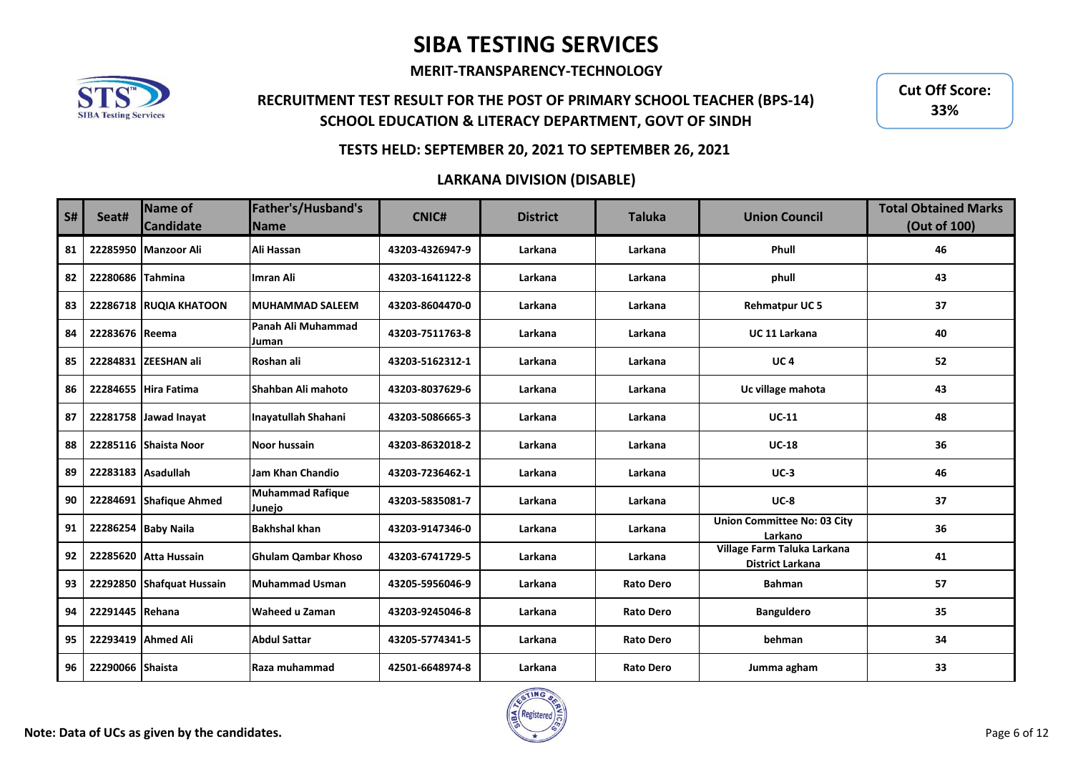**MERIT-TRANSPARENCY-TECHNOLOGY**



## **RECRUITMENT TEST RESULT FOR THE POST OF PRIMARY SCHOOL TEACHER (BPS-14) SCHOOL EDUCATION & LITERACY DEPARTMENT, GOVT OF SINDH**

**Cut Off Score: 33%**

### **TESTS HELD: SEPTEMBER 20, 2021 TO SEPTEMBER 26, 2021**

| S# | Seat#    | <b>Name of</b><br><b>Candidate</b> | Father's/Husband's<br><b>Name</b> | <b>CNIC#</b>    | <b>District</b> | <b>Taluka</b>    | <b>Union Council</b>                                   | <b>Total Obtained Marks</b><br>(Out of 100) |
|----|----------|------------------------------------|-----------------------------------|-----------------|-----------------|------------------|--------------------------------------------------------|---------------------------------------------|
| 81 | 22285950 | <b>Manzoor Ali</b>                 | Ali Hassan                        | 43203-4326947-9 | Larkana         | Larkana          | Phull                                                  | 46                                          |
| 82 | 22280686 | <b>Tahmina</b>                     | Imran Ali                         | 43203-1641122-8 | Larkana         | Larkana          | phull                                                  | 43                                          |
| 83 |          | 22286718 RUQIA KHATOON             | <b>IMUHAMMAD SALEEM</b>           | 43203-8604470-0 | Larkana         | Larkana          | <b>Rehmatpur UC5</b>                                   | 37                                          |
| 84 | 22283676 | Reema                              | lPanah Ali Muhammad<br>Juman      | 43203-7511763-8 | Larkana         | Larkana          | <b>UC 11 Larkana</b>                                   | 40                                          |
| 85 |          | 22284831 ZEESHAN ali               | Roshan ali                        | 43203-5162312-1 | Larkana         | Larkana          | <b>UC4</b>                                             | 52                                          |
| 86 |          | 22284655 Hira Fatima               | Shahban Ali mahoto                | 43203-8037629-6 | Larkana         | Larkana          | Uc village mahota                                      | 43                                          |
| 87 |          | 22281758 Jawad Inayat              | Inayatullah Shahani               | 43203-5086665-3 | Larkana         | Larkana          | $UC-11$                                                | 48                                          |
| 88 | 22285116 | Shaista Noor                       | <b>Noor hussain</b>               | 43203-8632018-2 | Larkana         | Larkana          | <b>UC-18</b>                                           | 36                                          |
| 89 | 22283183 | <b>Asadullah</b>                   | Jam Khan Chandio                  | 43203-7236462-1 | Larkana         | Larkana          | $UC-3$                                                 | 46                                          |
| 90 |          | 22284691 Shafique Ahmed            | <b>Muhammad Rafique</b><br>Junejo | 43203-5835081-7 | Larkana         | Larkana          | $UC-8$                                                 | 37                                          |
| 91 |          | 22286254 Baby Naila                | <b>Bakhshal khan</b>              | 43203-9147346-0 | Larkana         | Larkana          | <b>Union Committee No: 03 City</b><br>Larkano          | 36                                          |
| 92 |          | 22285620 Atta Hussain              | <b>Ghulam Qambar Khoso</b>        | 43203-6741729-5 | Larkana         | Larkana          | Village Farm Taluka Larkana<br><b>District Larkana</b> | 41                                          |
| 93 |          | 22292850 Shafquat Hussain          | Muhammad Usman                    | 43205-5956046-9 | Larkana         | <b>Rato Dero</b> | <b>Bahman</b>                                          | 57                                          |
| 94 | 22291445 | Rehana                             | Waheed u Zaman                    | 43203-9245046-8 | Larkana         | <b>Rato Dero</b> | <b>Banguldero</b>                                      | 35                                          |
| 95 | 22293419 | <b>Ahmed Ali</b>                   | <b>Abdul Sattar</b>               | 43205-5774341-5 | Larkana         | <b>Rato Dero</b> | behman                                                 | 34                                          |
| 96 | 22290066 | <b>Shaista</b>                     | Raza muhammad                     | 42501-6648974-8 | Larkana         | <b>Rato Dero</b> | Jumma agham                                            | 33                                          |

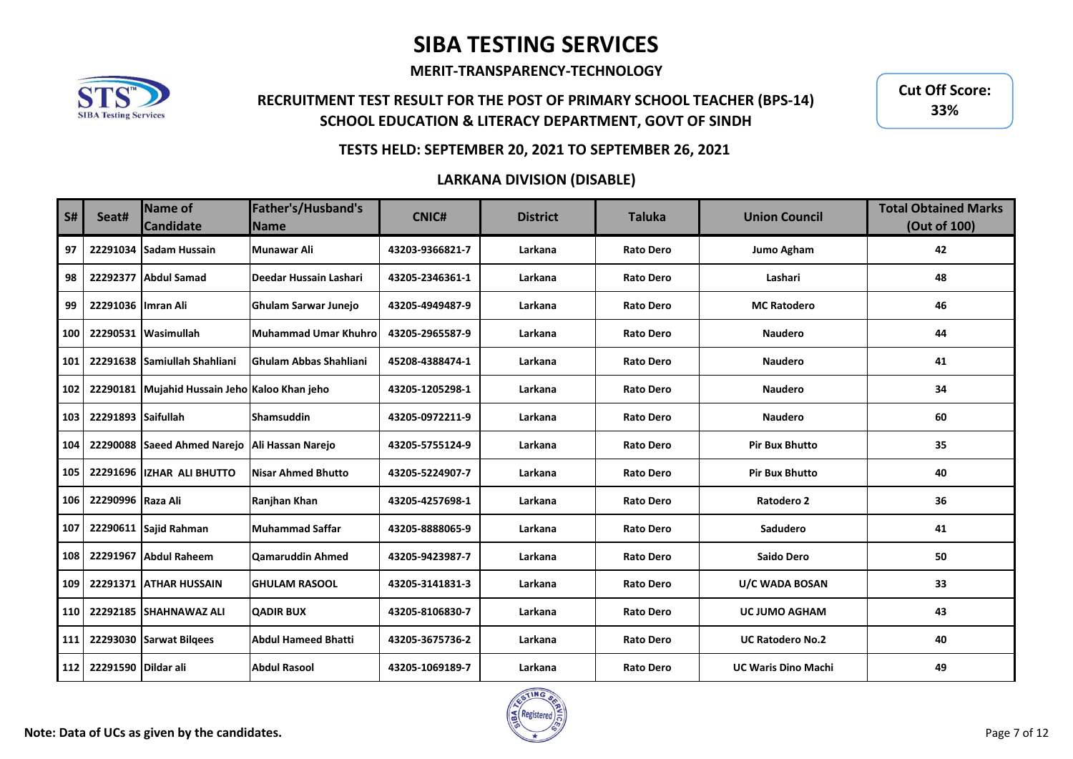**MERIT-TRANSPARENCY-TECHNOLOGY**



## **RECRUITMENT TEST RESULT FOR THE POST OF PRIMARY SCHOOL TEACHER (BPS-14) SCHOOL EDUCATION & LITERACY DEPARTMENT, GOVT OF SINDH**

**Cut Off Score: 33%**

### **TESTS HELD: SEPTEMBER 20, 2021 TO SEPTEMBER 26, 2021**

| <b>S#</b> | Seat#               | <b>Name of</b><br><b>Candidate</b>            | Father's/Husband's<br><b>Name</b> | <b>CNIC#</b>    | <b>District</b> | <b>Taluka</b>    | <b>Union Council</b>       | <b>Total Obtained Marks</b><br>(Out of 100) |
|-----------|---------------------|-----------------------------------------------|-----------------------------------|-----------------|-----------------|------------------|----------------------------|---------------------------------------------|
| 97        | 22291034            | <b>Sadam Hussain</b>                          | Munawar Ali                       | 43203-9366821-7 | Larkana         | <b>Rato Dero</b> | Jumo Agham                 | 42                                          |
| 98        | 22292377            | Abdul Samad                                   | Deedar Hussain Lashari            | 43205-2346361-1 | Larkana         | <b>Rato Dero</b> | Lashari                    | 48                                          |
| 99        | 22291036 Imran Ali  |                                               | <b>Ghulam Sarwar Junejo</b>       | 43205-4949487-9 | Larkana         | <b>Rato Dero</b> | <b>MC Ratodero</b>         | 46                                          |
| 100       |                     | 22290531 Wasimullah                           | Muhammad Umar Khuhro              | 43205-2965587-9 | Larkana         | <b>Rato Dero</b> | <b>Naudero</b>             | 44                                          |
| 101       |                     | 22291638 Samiullah Shahliani                  | lGhulam Abbas Shahliani           | 45208-4388474-1 | Larkana         | <b>Rato Dero</b> | <b>Naudero</b>             | 41                                          |
| 102       |                     | 22290181 Mujahid Hussain Jeho Kaloo Khan jeho |                                   | 43205-1205298-1 | Larkana         | <b>Rato Dero</b> | <b>Naudero</b>             | 34                                          |
| 103       | 22291893 Saifullah  |                                               | <b>Shamsuddin</b>                 | 43205-0972211-9 | Larkana         | <b>Rato Dero</b> | <b>Naudero</b>             | 60                                          |
| 104       |                     | 22290088 Saeed Ahmed Narejo                   | Ali Hassan Narejo                 | 43205-5755124-9 | Larkana         | <b>Rato Dero</b> | <b>Pir Bux Bhutto</b>      | 35                                          |
| 105       |                     | 22291696 IZHAR ALI BHUTTO                     | Nisar Ahmed Bhutto                | 43205-5224907-7 | Larkana         | <b>Rato Dero</b> | <b>Pir Bux Bhutto</b>      | 40                                          |
| 106       | 22290996 Raza Ali   |                                               | Ranjhan Khan                      | 43205-4257698-1 | Larkana         | <b>Rato Dero</b> | Ratodero 2                 | 36                                          |
| 107       |                     | 22290611 Sajid Rahman                         | Muhammad Saffar                   | 43205-8888065-9 | Larkana         | <b>Rato Dero</b> | Sadudero                   | 41                                          |
| 108       |                     | 22291967 Abdul Raheem                         | Qamaruddin Ahmed                  | 43205-9423987-7 | Larkana         | <b>Rato Dero</b> | <b>Saido Dero</b>          | 50                                          |
| 109       |                     | 22291371 ATHAR HUSSAIN                        | <b>GHULAM RASOOL</b>              | 43205-3141831-3 | Larkana         | <b>Rato Dero</b> | U/C WADA BOSAN             | 33                                          |
| 110       | 22292185            | <b>SHAHNAWAZ ALI</b>                          | <b>QADIR BUX</b>                  | 43205-8106830-7 | Larkana         | <b>Rato Dero</b> | <b>UC JUMO AGHAM</b>       | 43                                          |
| 111       |                     | 22293030 Sarwat Bilgees                       | Abdul Hameed Bhatti               | 43205-3675736-2 | Larkana         | <b>Rato Dero</b> | <b>UC Ratodero No.2</b>    | 40                                          |
| 112       | 22291590 Dildar ali |                                               | <b>Abdul Rasool</b>               | 43205-1069189-7 | Larkana         | <b>Rato Dero</b> | <b>UC Waris Dino Machi</b> | 49                                          |

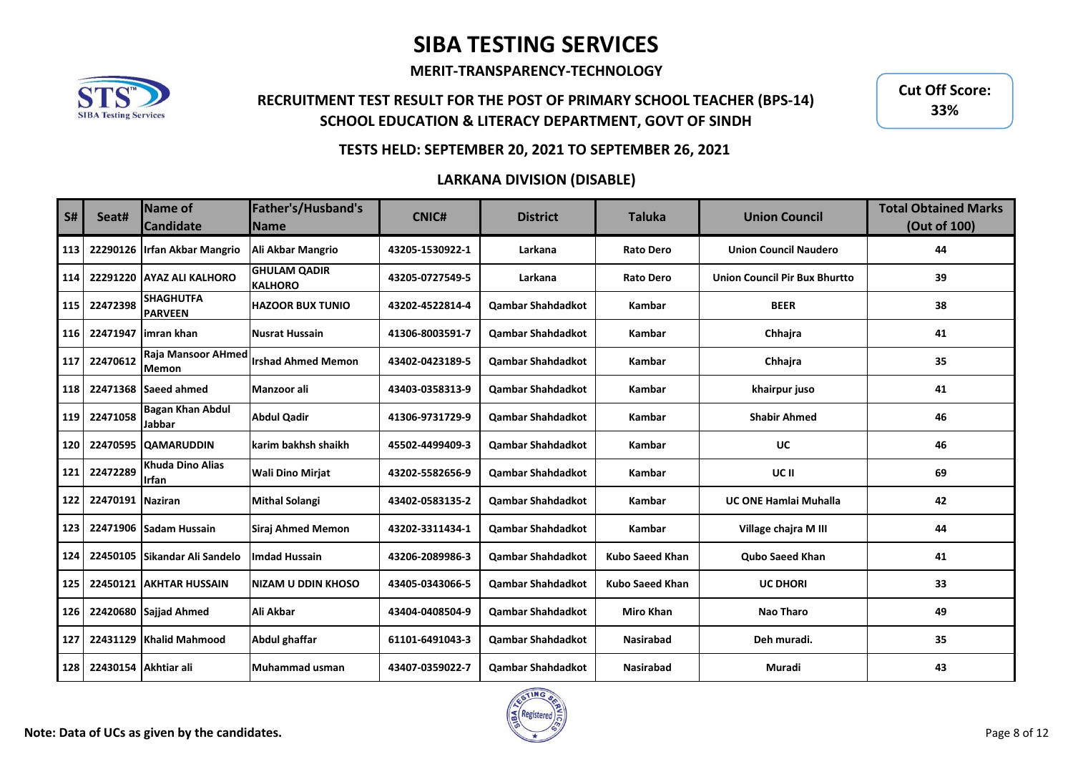**MERIT-TRANSPARENCY-TECHNOLOGY**



## **RECRUITMENT TEST RESULT FOR THE POST OF PRIMARY SCHOOL TEACHER (BPS-14) SCHOOL EDUCATION & LITERACY DEPARTMENT, GOVT OF SINDH**

**Cut Off Score: 33%**

### **TESTS HELD: SEPTEMBER 20, 2021 TO SEPTEMBER 26, 2021**

| <b>S#</b> | Seat#                | Name of<br><b>Candidate</b>               | Father's/Husband's<br><b>Name</b>     | <b>CNIC#</b>    | <b>District</b>          | <b>Taluka</b>          | <b>Union Council</b>                 | <b>Total Obtained Marks</b><br>(Out of 100) |
|-----------|----------------------|-------------------------------------------|---------------------------------------|-----------------|--------------------------|------------------------|--------------------------------------|---------------------------------------------|
| 113       | 22290126             | <b>Irfan Akbar Mangrio</b>                | Ali Akbar Mangrio                     | 43205-1530922-1 | Larkana                  | <b>Rato Dero</b>       | <b>Union Council Naudero</b>         | 44                                          |
| 114       | 22291220             | <b>AYAZ ALI KALHORO</b>                   | <b>GHULAM QADIR</b><br><b>KALHORO</b> | 43205-0727549-5 | Larkana                  | <b>Rato Dero</b>       | <b>Union Council Pir Bux Bhurtto</b> | 39                                          |
| 115       | 22472398             | <b>SHAGHUTFA</b><br><b>PARVEEN</b>        | <b>HAZOOR BUX TUNIO</b>               | 43202-4522814-4 | <b>Qambar Shahdadkot</b> | Kambar                 | <b>BEER</b>                          | 38                                          |
| 116       | 22471947             | limran khan                               | Nusrat Hussain                        | 41306-8003591-7 | <b>Qambar Shahdadkot</b> | Kambar                 | Chhaira                              | 41                                          |
| 117       | 22470612             | <b>Raja Mansoor AHmed</b><br><b>Memon</b> | lIrshad Ahmed Memon                   | 43402-0423189-5 | <b>Qambar Shahdadkot</b> | Kambar                 | Chhajra                              | 35                                          |
| 118       |                      | 22471368 Saeed ahmed                      | Manzoor ali                           | 43403-0358313-9 | <b>Qambar Shahdadkot</b> | Kambar                 | khairpur juso                        | 41                                          |
| 119       | 22471058             | <b>Bagan Khan Abdul</b><br>Jabbar         | <b>Abdul Qadir</b>                    | 41306-9731729-9 | <b>Qambar Shahdadkot</b> | Kambar                 | <b>Shabir Ahmed</b>                  | 46                                          |
| 120       | 22470595             | <b>QAMARUDDIN</b>                         | karim bakhsh shaikh                   | 45502-4499409-3 | <b>Qambar Shahdadkot</b> | Kambar                 | UC                                   | 46                                          |
| 121       | 22472289             | <b>Khuda Dino Alias</b><br><b>Irfan</b>   | <b>Wali Dino Mirjat</b>               | 43202-5582656-9 | <b>Qambar Shahdadkot</b> | Kambar                 | UC II                                | 69                                          |
| 122       | 22470191 Naziran     |                                           | <b>Mithal Solangi</b>                 | 43402-0583135-2 | <b>Qambar Shahdadkot</b> | Kambar                 | <b>UC ONE Hamlai Muhalla</b>         | 42                                          |
| 123       | 22471906             | Sadam Hussain                             | <b>Siraj Ahmed Memon</b>              | 43202-3311434-1 | <b>Qambar Shahdadkot</b> | Kambar                 | Village chajra M III                 | 44                                          |
| 124       | 22450105             | <b>Sikandar Ali Sandelo</b>               | <b>Imdad Hussain</b>                  | 43206-2089986-3 | <b>Qambar Shahdadkot</b> | <b>Kubo Saeed Khan</b> | Qubo Saeed Khan                      | 41                                          |
| 125       |                      | 22450121 AKHTAR HUSSAIN                   | <b>NIZAM U DDIN KHOSO</b>             | 43405-0343066-5 | <b>Qambar Shahdadkot</b> | <b>Kubo Saeed Khan</b> | <b>UC DHORI</b>                      | 33                                          |
| 126       | 22420680             | Sajjad Ahmed                              | Ali Akbar                             | 43404-0408504-9 | <b>Qambar Shahdadkot</b> | <b>Miro Khan</b>       | <b>Nao Tharo</b>                     | 49                                          |
| 127       | 22431129             | <b>Khalid Mahmood</b>                     | Abdul ghaffar                         | 61101-6491043-3 | <b>Qambar Shahdadkot</b> | <b>Nasirabad</b>       | Deh muradi.                          | 35                                          |
| 128       | 22430154 Akhtiar ali |                                           | Muhammad usman                        | 43407-0359022-7 | <b>Qambar Shahdadkot</b> | <b>Nasirabad</b>       | Muradi                               | 43                                          |

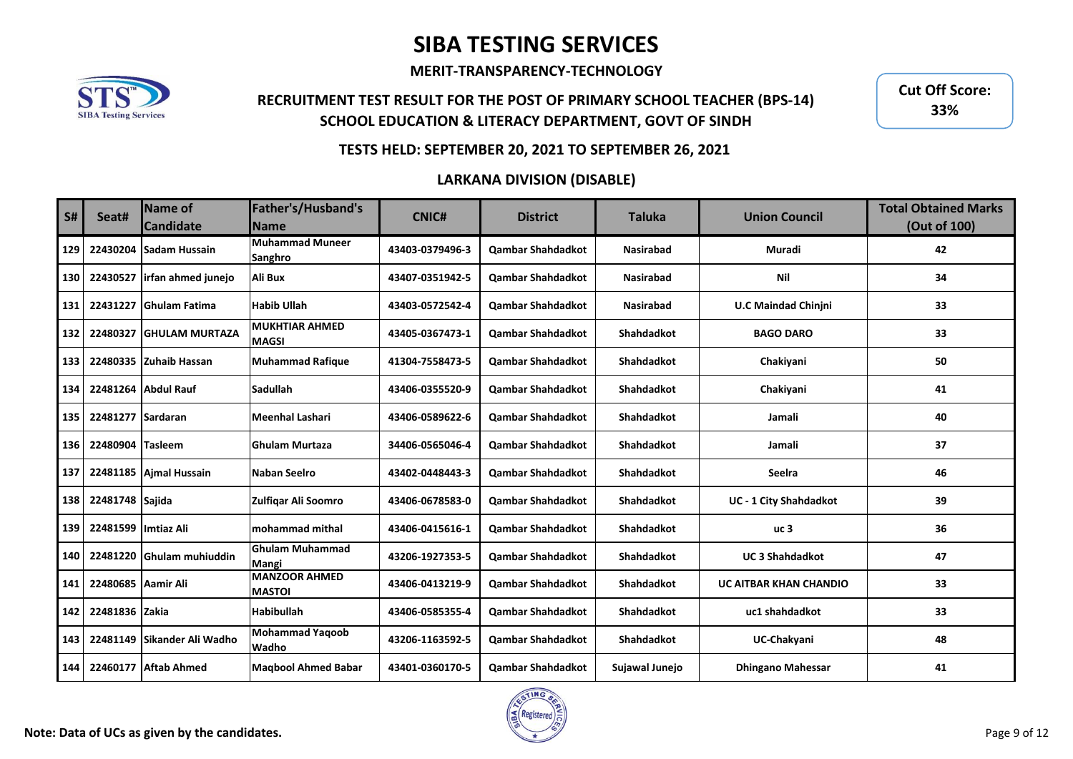**MERIT-TRANSPARENCY-TECHNOLOGY**



## **RECRUITMENT TEST RESULT FOR THE POST OF PRIMARY SCHOOL TEACHER (BPS-14) SCHOOL EDUCATION & LITERACY DEPARTMENT, GOVT OF SINDH**

**Cut Off Score: 33%**

### **TESTS HELD: SEPTEMBER 20, 2021 TO SEPTEMBER 26, 2021**

| S#  | Seat#                | <b>Name of</b><br><b>Candidate</b> | Father's/Husband's<br><b>Name</b>      | <b>CNIC#</b>    | <b>District</b>          | <b>Taluka</b>     | <b>Union Council</b>          | <b>Total Obtained Marks</b><br>(Out of 100) |
|-----|----------------------|------------------------------------|----------------------------------------|-----------------|--------------------------|-------------------|-------------------------------|---------------------------------------------|
| 129 | 22430204             | <b>Sadam Hussain</b>               | Muhammad Muneer<br>Sanghro             | 43403-0379496-3 | <b>Qambar Shahdadkot</b> | <b>Nasirabad</b>  | Muradi                        | 42                                          |
| 130 | 22430527             | irfan ahmed junejo                 | <b>Ali Bux</b>                         | 43407-0351942-5 | <b>Qambar Shahdadkot</b> | <b>Nasirabad</b>  | Nil                           | 34                                          |
| 131 | 22431227             | <b>IGhulam Fatima</b>              | <b>Habib Ullah</b>                     | 43403-0572542-4 | <b>Qambar Shahdadkot</b> | <b>Nasirabad</b>  | <b>U.C Maindad Chinjni</b>    | 33                                          |
| 132 | 22480327             | <b>IGHULAM MURTAZA</b>             | <b>MUKHTIAR AHMED</b><br><b>MAGSI</b>  | 43405-0367473-1 | <b>Qambar Shahdadkot</b> | Shahdadkot        | <b>BAGO DARO</b>              | 33                                          |
| 133 |                      | 22480335 Zuhaib Hassan             | <b>Muhammad Rafique</b>                | 41304-7558473-5 | <b>Qambar Shahdadkot</b> | <b>Shahdadkot</b> | Chakiyani                     | 50                                          |
| 134 |                      | 22481264 Abdul Rauf                | <b>Sadullah</b>                        | 43406-0355520-9 | <b>Qambar Shahdadkot</b> | <b>Shahdadkot</b> | Chakiyani                     | 41                                          |
| 135 | 22481277 Sardaran    |                                    | Meenhal Lashari                        | 43406-0589622-6 | <b>Qambar Shahdadkot</b> | <b>Shahdadkot</b> | Jamali                        | 40                                          |
| 136 | 22480904             | <b>Tasleem</b>                     | <b>IGhulam Murtaza</b>                 | 34406-0565046-4 | <b>Qambar Shahdadkot</b> | <b>Shahdadkot</b> | Jamali                        | 37                                          |
| 137 |                      | 22481185 Aimal Hussain             | Naban Seelro                           | 43402-0448443-3 | <b>Qambar Shahdadkot</b> | <b>Shahdadkot</b> | Seelra                        | 46                                          |
| 138 | 22481748 Sajida      |                                    | Zulfigar Ali Soomro                    | 43406-0678583-0 | <b>Qambar Shahdadkot</b> | <b>Shahdadkot</b> | <b>UC - 1 City Shahdadkot</b> | 39                                          |
| 139 | 22481599 Ilmtiaz Ali |                                    | lmohammad mithal                       | 43406-0415616-1 | <b>Qambar Shahdadkot</b> | <b>Shahdadkot</b> | uc <sub>3</sub>               | 36                                          |
| 140 |                      | 22481220 Ghulam muhiuddin          | <b>Ghulam Muhammad</b><br>Mangi        | 43206-1927353-5 | <b>Qambar Shahdadkot</b> | <b>Shahdadkot</b> | <b>UC 3 Shahdadkot</b>        | 47                                          |
| 141 | 22480685 Aamir Ali   |                                    | <b>MANZOOR AHMED</b><br><b>MASTOI</b>  | 43406-0413219-9 | <b>Qambar Shahdadkot</b> | <b>Shahdadkot</b> | <b>UC AITBAR KHAN CHANDIO</b> | 33                                          |
| 142 | 22481836 Zakia       |                                    | <b>Habibullah</b>                      | 43406-0585355-4 | <b>Qambar Shahdadkot</b> | <b>Shahdadkot</b> | uc1 shahdadkot                | 33                                          |
| 143 | 22481149             | Sikander Ali Wadho                 | <b>Mohammad Yagoob</b><br><b>Wadho</b> | 43206-1163592-5 | <b>Qambar Shahdadkot</b> | <b>Shahdadkot</b> | UC-Chakyani                   | 48                                          |
| 144 |                      | 22460177 Aftab Ahmed               | <b>Magbool Ahmed Babar</b>             | 43401-0360170-5 | <b>Qambar Shahdadkot</b> | Sujawal Junejo    | <b>Dhingano Mahessar</b>      | 41                                          |

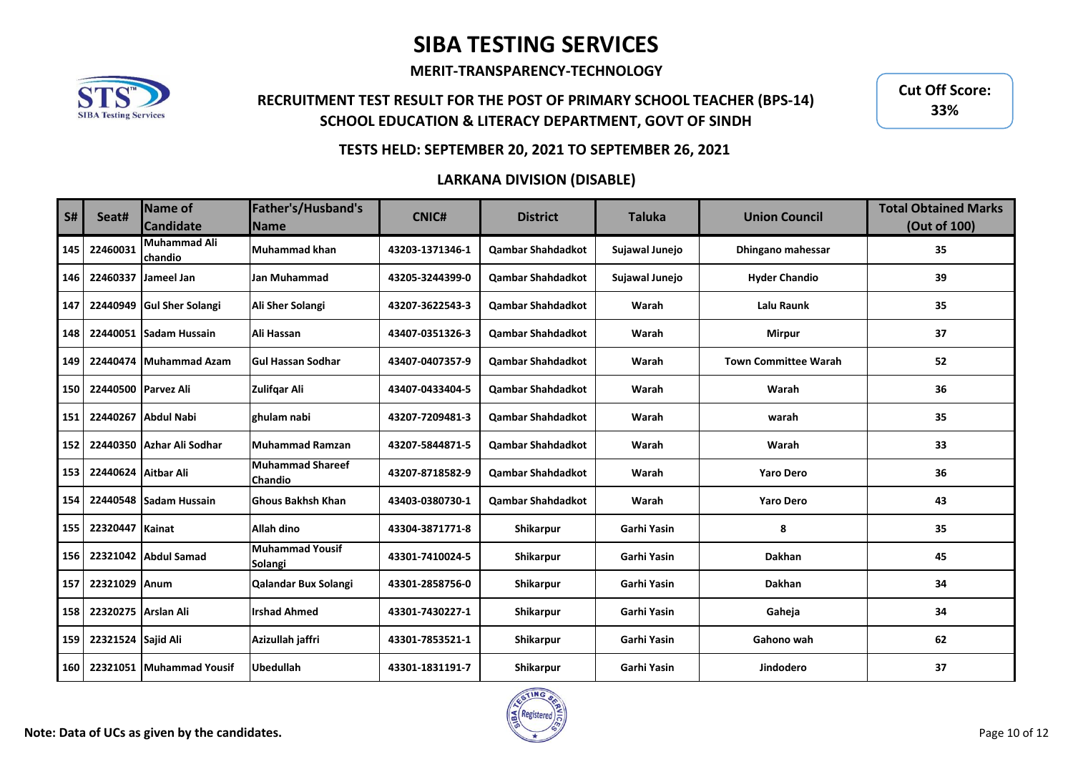**MERIT-TRANSPARENCY-TECHNOLOGY**



## **RECRUITMENT TEST RESULT FOR THE POST OF PRIMARY SCHOOL TEACHER (BPS-14) SCHOOL EDUCATION & LITERACY DEPARTMENT, GOVT OF SINDH**

**Cut Off Score: 33%**

### **TESTS HELD: SEPTEMBER 20, 2021 TO SEPTEMBER 26, 2021**

| <b>S#</b> | Seat#               | Name of<br><b>Candidate</b>    | Father's/Husband's<br><b>Name</b>         | <b>CNIC#</b>    | <b>District</b>          | <b>Taluka</b>  | <b>Union Council</b>        | <b>Total Obtained Marks</b><br>(Out of 100) |
|-----------|---------------------|--------------------------------|-------------------------------------------|-----------------|--------------------------|----------------|-----------------------------|---------------------------------------------|
| 145       | 22460031            | <b>Muhammad Ali</b><br>chandio | Muhammad khan                             | 43203-1371346-1 | <b>Qambar Shahdadkot</b> | Sujawal Junejo | Dhingano mahessar           | 35                                          |
| 146       | 22460337            | Jameel Jan                     | Jan Muhammad                              | 43205-3244399-0 | <b>Oambar Shahdadkot</b> | Sujawal Junejo | <b>Hyder Chandio</b>        | 39                                          |
| 147       | 22440949            | <b>Gul Sher Solangi</b>        | Ali Sher Solangi                          | 43207-3622543-3 | <b>Qambar Shahdadkot</b> | Warah          | Lalu Raunk                  | 35                                          |
| 148       | 22440051            | <b>Sadam Hussain</b>           | Ali Hassan                                | 43407-0351326-3 | <b>Qambar Shahdadkot</b> | Warah          | <b>Mirpur</b>               | 37                                          |
| 149       | 22440474            | <b>Muhammad Azam</b>           | <b>Gul Hassan Sodhar</b>                  | 43407-0407357-9 | <b>Qambar Shahdadkot</b> | Warah          | <b>Town Committee Warah</b> | 52                                          |
| 150       | 22440500 Parvez Ali |                                | Zulifgar Ali                              | 43407-0433404-5 | <b>Qambar Shahdadkot</b> | Warah          | Warah                       | 36                                          |
| 151       |                     | 22440267 Abdul Nabi            | ghulam nabi                               | 43207-7209481-3 | <b>Qambar Shahdadkot</b> | Warah          | warah                       | 35                                          |
| 152       | 22440350            | Azhar Ali Sodhar               | <b>Muhammad Ramzan</b>                    | 43207-5844871-5 | <b>Qambar Shahdadkot</b> | Warah          | Warah                       | 33                                          |
| 153       | 22440624 Aitbar Ali |                                | <b>Muhammad Shareef</b><br><b>Chandio</b> | 43207-8718582-9 | <b>Qambar Shahdadkot</b> | Warah          | <b>Yaro Dero</b>            | 36                                          |
| 154       |                     | 22440548 Sadam Hussain         | <b>Ghous Bakhsh Khan</b>                  | 43403-0380730-1 | <b>Qambar Shahdadkot</b> | Warah          | <b>Yaro Dero</b>            | 43                                          |
| 155       | 22320447            | Kainat                         | Allah dino                                | 43304-3871771-8 | Shikarpur                | Garhi Yasin    | 8                           | 35                                          |
| 156       |                     | 22321042 Abdul Samad           | <b>Muhammad Yousif</b><br>Solangi         | 43301-7410024-5 | Shikarpur                | Garhi Yasin    | <b>Dakhan</b>               | 45                                          |
| 157       | 22321029 Anum       |                                | Qalandar Bux Solangi                      | 43301-2858756-0 | Shikarpur                | Garhi Yasin    | <b>Dakhan</b>               | 34                                          |
| 158       | 22320275 Arslan Ali |                                | <b>Irshad Ahmed</b>                       | 43301-7430227-1 | Shikarpur                | Garhi Yasin    | Gaheja                      | 34                                          |
| 159       | 22321524 Sajid Ali  |                                | Azizullah jaffri                          | 43301-7853521-1 | Shikarpur                | Garhi Yasin    | Gahono wah                  | 62                                          |
| 160       |                     | 22321051 Muhammad Yousif       | <b>Ubedullah</b>                          | 43301-1831191-7 | Shikarpur                | Garhi Yasin    | Jindodero                   | 37                                          |

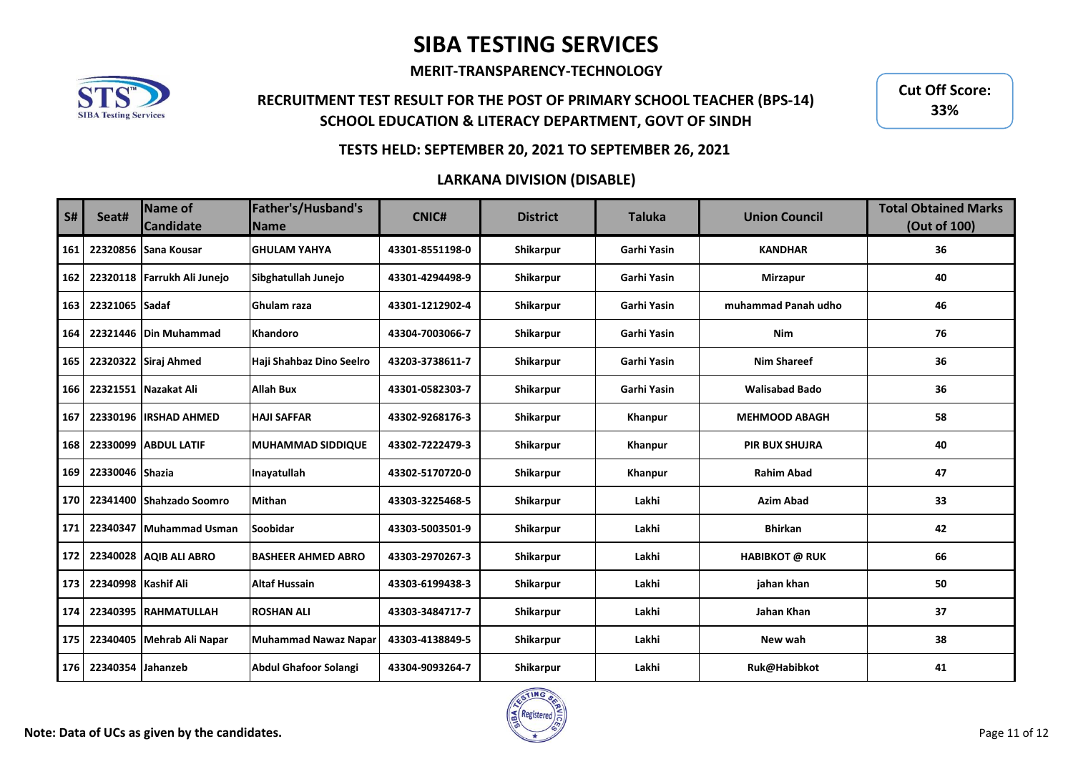**MERIT-TRANSPARENCY-TECHNOLOGY**



## **RECRUITMENT TEST RESULT FOR THE POST OF PRIMARY SCHOOL TEACHER (BPS-14) SCHOOL EDUCATION & LITERACY DEPARTMENT, GOVT OF SINDH**

**Cut Off Score: 33%**

### **TESTS HELD: SEPTEMBER 20, 2021 TO SEPTEMBER 26, 2021**

| <b>S#</b> | Seat#               | Name of<br><b>Candidate</b> | Father's/Husband's<br><b>Name</b> | <b>CNIC#</b>    | <b>District</b> | <b>Taluka</b> | <b>Union Council</b>  | <b>Total Obtained Marks</b><br>(Out of 100) |
|-----------|---------------------|-----------------------------|-----------------------------------|-----------------|-----------------|---------------|-----------------------|---------------------------------------------|
| 161       | 22320856            | Sana Kousar                 | <b>GHULAM YAHYA</b>               | 43301-8551198-0 | Shikarpur       | Garhi Yasin   | <b>KANDHAR</b>        | 36                                          |
| 162       |                     | 22320118 Farrukh Ali Junejo | Sibghatullah Junejo               | 43301-4294498-9 | Shikarpur       | Garhi Yasin   | <b>Mirzapur</b>       | 40                                          |
| 163       | 22321065 Sadaf      |                             | <b>Ghulam raza</b>                | 43301-1212902-4 | Shikarpur       | Garhi Yasin   | muhammad Panah udho   | 46                                          |
| 164       | 22321446            | Din Muhammad                | <b>Khandoro</b>                   | 43304-7003066-7 | Shikarpur       | Garhi Yasin   | Nim                   | 76                                          |
| 165       |                     | 22320322 Siraj Ahmed        | Haji Shahbaz Dino Seelro          | 43203-3738611-7 | Shikarpur       | Garhi Yasin   | <b>Nim Shareef</b>    | 36                                          |
| 166       |                     | 22321551 Nazakat Ali        | <b>Allah Bux</b>                  | 43301-0582303-7 | Shikarpur       | Garhi Yasin   | <b>Walisabad Bado</b> | 36                                          |
| 167       | 22330196            | <b>IIRSHAD AHMED</b>        | <b>HAJI SAFFAR</b>                | 43302-9268176-3 | Shikarpur       | Khanpur       | <b>MEHMOOD ABAGH</b>  | 58                                          |
| 168       | 22330099            | <b>ABDUL LATIF</b>          | <b>MUHAMMAD SIDDIQUE</b>          | 43302-7222479-3 | Shikarpur       | Khanpur       | <b>PIR BUX SHUJRA</b> | 40                                          |
| 169       | 22330046            | <b>Shazia</b>               | Inavatullah                       | 43302-5170720-0 | Shikarpur       | Khanpur       | <b>Rahim Abad</b>     | 47                                          |
| 170       |                     | 22341400 Shahzado Soomro    | <b>Mithan</b>                     | 43303-3225468-5 | Shikarpur       | Lakhi         | <b>Azim Abad</b>      | 33                                          |
| 171       | 22340347            | <b>Muhammad Usman</b>       | <b>Soobidar</b>                   | 43303-5003501-9 | Shikarpur       | Lakhi         | <b>Bhirkan</b>        | 42                                          |
| 172       |                     | 22340028 AQIB ALI ABRO      | <b>BASHEER AHMED ABRO</b>         | 43303-2970267-3 | Shikarpur       | Lakhi         | <b>HABIBKOT @ RUK</b> | 66                                          |
| 173       | 22340998 Kashif Ali |                             | <b>Altaf Hussain</b>              | 43303-6199438-3 | Shikarpur       | Lakhi         | jahan khan            | 50                                          |
| 174       | 22340395            | <b>IRAHMATULLAH</b>         | <b>ROSHAN ALI</b>                 | 43303-3484717-7 | Shikarpur       | Lakhi         | Jahan Khan            | 37                                          |
| 175       | 22340405            | Mehrab Ali Napar            | <b>Muhammad Nawaz Napar</b>       | 43303-4138849-5 | Shikarpur       | Lakhi         | New wah               | 38                                          |
| 176       | 22340354 Jahanzeb   |                             | <b>Abdul Ghafoor Solangi</b>      | 43304-9093264-7 | Shikarpur       | Lakhi         | Ruk@Habibkot          | 41                                          |